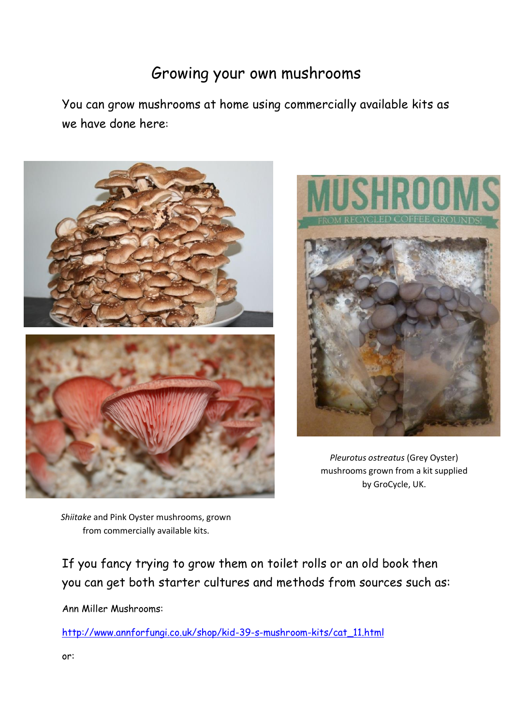## Growing your own mushrooms

You can grow mushrooms at home using commercially available kits as we have done here:





*Pleurotus ostreatus* (Grey Oyster) mushrooms grown from a kit supplied by GroCycle, UK.

*Shiitake* and Pink Oyster mushrooms, grown from commercially available kits.

If you fancy trying to grow them on toilet rolls or an old book then you can get both starter cultures and methods from sources such as:

Ann Miller Mushrooms:

[http://www.annforfungi.co.uk/shop/kid-39-s-mushroom-kits/cat\\_11.html](http://www.annforfungi.co.uk/shop/kid-39-s-mushroom-kits/cat_11.html)

or: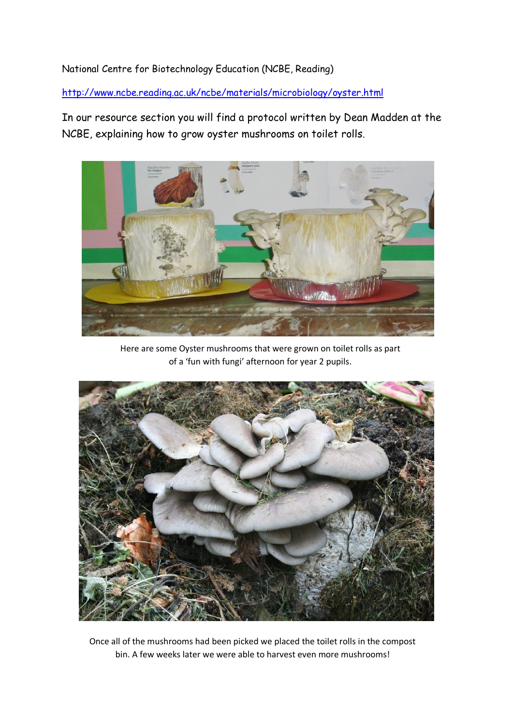## National Centre for Biotechnology Education (NCBE, Reading)

<http://www.ncbe.reading.ac.uk/ncbe/materials/microbiology/oyster.html>

In our resource section you will find a protocol written by Dean Madden at the NCBE, explaining how to grow oyster mushrooms on toilet rolls.



Here are some Oyster mushrooms that were grown on toilet rolls as part of a 'fun with fungi' afternoon for year 2 pupils.



Once all of the mushrooms had been picked we placed the toilet rolls in the compost bin. A few weeks later we were able to harvest even more mushrooms!